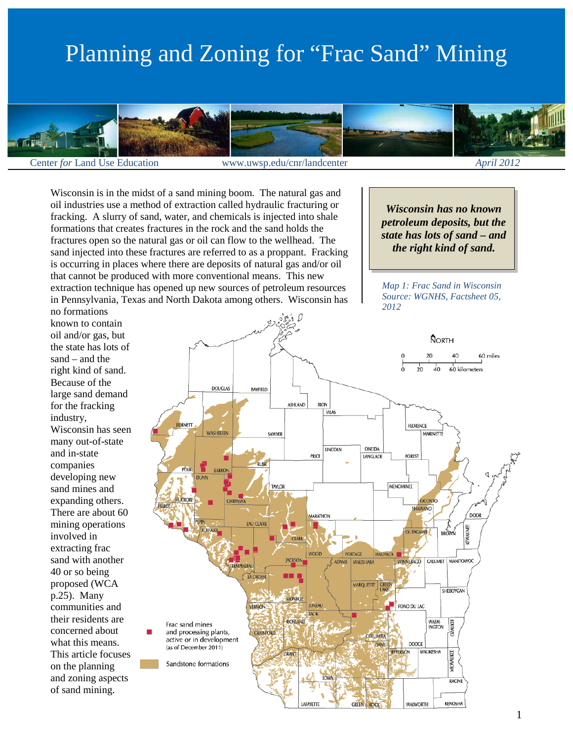# Planning and Zoning for "Frac Sand" Mining



Center *for* Land Use Education www.uwsp.edu/cnr/landcenter *April 2012*

*Map 1: Frac Sand in Wisconsin Source: WGNHS, Factsheet 05,* 

*Wisconsin has no known petroleum deposits, but the state has lots of sand – and the right kind of sand.*

*2012*

Wisconsin is in the midst of a sand mining boom. The natural gas and oil industries use a method of extraction called hydraulic fracturing or fracking. A slurry of sand, water, and chemicals is injected into shale formations that creates fractures in the rock and the sand holds the fractures open so the natural gas or oil can flow to the wellhead. The sand injected into these fractures are referred to as a proppant. Fracking is occurring in places where there are deposits of natural gas and/or oil that cannot be produced with more conventional means. This new extraction technique has opened up new sources of petroleum resources in Pennsylvania, Texas and North Dakota among others. Wisconsin has

no formations known to contain oil and/or gas, but the state has lots of sand – and the right kind of sand. Because of the large sand demand for the fracking industry, Wisconsin has seen many out-of-state and in-state companies developing new sand mines and expanding others. There are about 60 mining operations involved in extracting frac sand with another 40 or so being proposed (WCA p.25). Many communities and their residents are concerned about what this means. This article focuses on the planning and zoning aspects of sand mining.



#### 1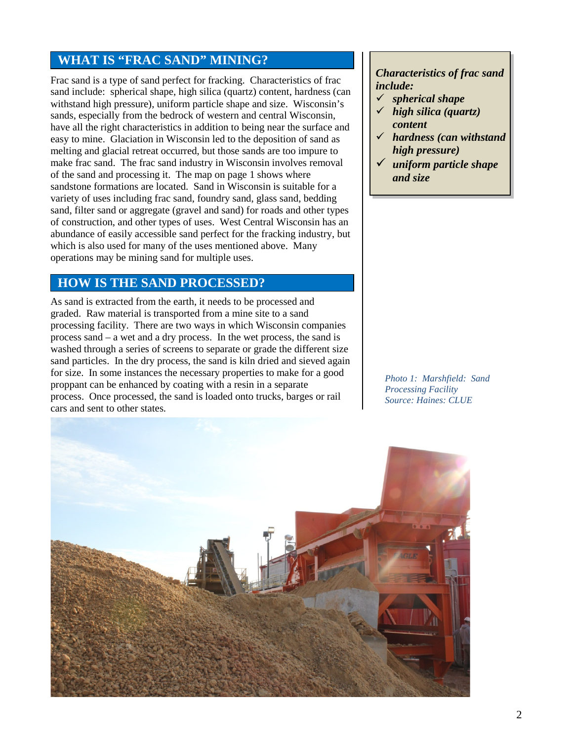## **WHAT IS "FRAC SAND" MINING?**

Frac sand is a type of sand perfect for fracking. Characteristics of frac sand include: spherical shape, high silica (quartz) content, hardness (can withstand high pressure), uniform particle shape and size. Wisconsin's sands, especially from the bedrock of western and central Wisconsin, have all the right characteristics in addition to being near the surface and easy to mine. Glaciation in Wisconsin led to the deposition of sand as melting and glacial retreat occurred, but those sands are too impure to make frac sand. The frac sand industry in Wisconsin involves removal of the sand and processing it. The map on page 1 shows where sandstone formations are located. Sand in Wisconsin is suitable for a variety of uses including frac sand, foundry sand, glass sand, bedding sand, filter sand or aggregate (gravel and sand) for roads and other types of construction, and other types of uses. West Central Wisconsin has an abundance of easily accessible sand perfect for the fracking industry, but which is also used for many of the uses mentioned above. Many operations may be mining sand for multiple uses.

### **HOW IS THE SAND PROCESSED?**

As sand is extracted from the earth, it needs to be processed and graded. Raw material is transported from a mine site to a sand processing facility. There are two ways in which Wisconsin companies process sand – a wet and a dry process. In the wet process, the sand is washed through a series of screens to separate or grade the different size sand particles. In the dry process, the sand is kiln dried and sieved again for size. In some instances the necessary properties to make for a good proppant can be enhanced by coating with a resin in a separate process. Once processed, the sand is loaded onto trucks, barges or rail cars and sent to other states.

#### *Characteristics of frac sand include:*

- *spherical shape*
- *high silica (quartz) content*
- *hardness (can withstand high pressure)*
- *uniform particle shape and size*

*Photo 1: Marshfield: Sand Processing Facility Source: Haines: CLUE*

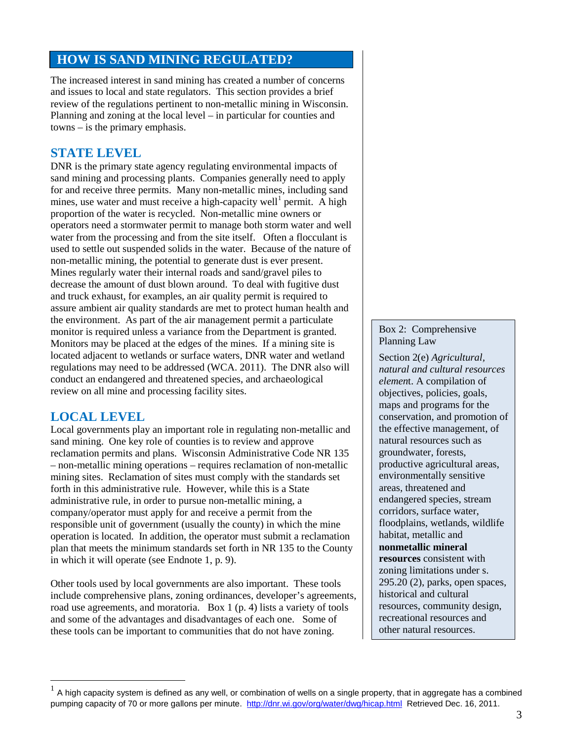### **HOW IS SAND MINING REGULATED?**

The increased interest in sand mining has created a number of concerns and issues to local and state regulators. This section provides a brief review of the regulations pertinent to non-metallic mining in Wisconsin. Planning and zoning at the local level – in particular for counties and towns – is the primary emphasis.

#### **STATE LEVEL**

DNR is the primary state agency regulating environmental impacts of sand mining and processing plants. Companies generally need to apply for and receive three permits. Many non-metallic mines, including sand mines, use water and must receive a high-capacity well<sup>[1](#page-2-0)</sup> permit. A high proportion of the water is recycled. Non-metallic mine owners or operators need a stormwater permit to manage both storm water and well water from the processing and from the site itself. Often a flocculant is used to settle out suspended solids in the water. Because of the nature of non-metallic mining, the potential to generate dust is ever present. Mines regularly water their internal roads and sand/gravel piles to decrease the amount of dust blown around. To deal with fugitive dust and truck exhaust, for examples, an air quality permit is required to assure ambient air quality standards are met to protect human health and the environment. As part of the air management permit a particulate monitor is required unless a variance from the Department is granted. Monitors may be placed at the edges of the mines. If a mining site is located adjacent to wetlands or surface waters, DNR water and wetland regulations may need to be addressed (WCA. 2011). The DNR also will conduct an endangered and threatened species, and archaeological review on all mine and processing facility sites.

#### **LOCAL LEVEL**

Local governments play an important role in regulating non-metallic and sand mining. One key role of counties is to review and approve reclamation permits and plans. Wisconsin Administrative Code NR 135 – non-metallic mining operations – requires reclamation of non-metallic mining sites. Reclamation of sites must comply with the standards set forth in this administrative rule. However, while this is a State administrative rule, in order to pursue non-metallic mining, a company/operator must apply for and receive a permit from the responsible unit of government (usually the county) in which the mine operation is located. In addition, the operator must submit a reclamation plan that meets the minimum standards set forth in NR 135 to the County in which it will operate (see Endnote 1, p. 9).

Other tools used by local governments are also important. These tools include comprehensive plans, zoning ordinances, developer's agreements, road use agreements, and moratoria. Box 1 (p. 4) lists a variety of tools and some of the advantages and disadvantages of each one. Some of these tools can be important to communities that do not have zoning.

#### Box 2: Comprehensive Planning Law

Section 2(e) *Agricultural, natural and cultural resources elemen*t. A compilation of objectives, policies, goals, maps and programs for the conservation, and promotion of the effective management, of natural resources such as groundwater, forests, productive agricultural areas, environmentally sensitive areas, threatened and endangered species, stream corridors, surface water, floodplains, wetlands, wildlife habitat, metallic and **nonmetallic mineral resources** consistent with zoning limitations under s. 295.20 (2), parks, open spaces, historical and cultural resources, community design, recreational resources and other natural resources.

<span id="page-2-0"></span> <sup>1</sup> A high capacity system is defined as any well, or combination of wells on a single property, that in aggregate has a combined pumping capacity of 70 or more gallons per minute.<http://dnr.wi.gov/org/water/dwg/hicap.html>Retrieved Dec. 16, 2011.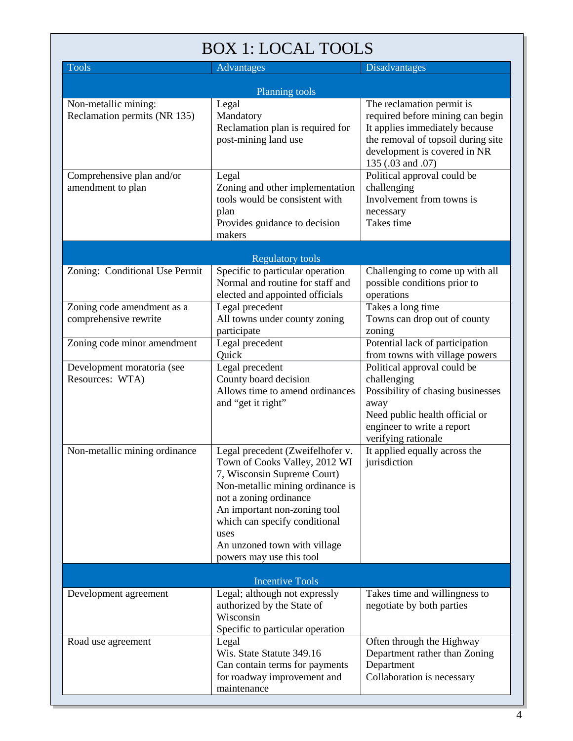## BOX 1: LOCAL TOOLS

| <b>Tools</b>                                         | Advantages                                                                                                                                                                                                                                                                                          | <b>Disadvantages</b>                                                                                                                                                                       |
|------------------------------------------------------|-----------------------------------------------------------------------------------------------------------------------------------------------------------------------------------------------------------------------------------------------------------------------------------------------------|--------------------------------------------------------------------------------------------------------------------------------------------------------------------------------------------|
| Planning tools                                       |                                                                                                                                                                                                                                                                                                     |                                                                                                                                                                                            |
| Non-metallic mining:<br>Reclamation permits (NR 135) | Legal<br>Mandatory<br>Reclamation plan is required for<br>post-mining land use                                                                                                                                                                                                                      | The reclamation permit is<br>required before mining can begin<br>It applies immediately because<br>the removal of topsoil during site<br>development is covered in NR<br>135 (.03 and .07) |
| Comprehensive plan and/or<br>amendment to plan       | Legal<br>Zoning and other implementation<br>tools would be consistent with<br>plan<br>Provides guidance to decision<br>makers                                                                                                                                                                       | Political approval could be<br>challenging<br>Involvement from towns is<br>necessary<br>Takes time                                                                                         |
| <b>Regulatory tools</b>                              |                                                                                                                                                                                                                                                                                                     |                                                                                                                                                                                            |
| Zoning: Conditional Use Permit                       | Specific to particular operation<br>Normal and routine for staff and<br>elected and appointed officials                                                                                                                                                                                             | Challenging to come up with all<br>possible conditions prior to<br>operations                                                                                                              |
| Zoning code amendment as a<br>comprehensive rewrite  | Legal precedent<br>All towns under county zoning<br>participate                                                                                                                                                                                                                                     | Takes a long time<br>Towns can drop out of county<br>zoning                                                                                                                                |
| Zoning code minor amendment                          | Legal precedent<br>Quick                                                                                                                                                                                                                                                                            | Potential lack of participation<br>from towns with village powers                                                                                                                          |
| Development moratoria (see<br>Resources: WTA)        | Legal precedent<br>County board decision<br>Allows time to amend ordinances<br>and "get it right"                                                                                                                                                                                                   | Political approval could be<br>challenging<br>Possibility of chasing businesses<br>away<br>Need public health official or<br>engineer to write a report<br>verifying rationale             |
| Non-metallic mining ordinance                        | Legal precedent (Zweifelhofer v.<br>Town of Cooks Valley, 2012 WI<br>7, Wisconsin Supreme Court)<br>Non-metallic mining ordinance is<br>not a zoning ordinance<br>An important non-zoning tool<br>which can specify conditional<br>uses<br>An unzoned town with village<br>powers may use this tool | It applied equally across the<br>jurisdiction                                                                                                                                              |
| <b>Incentive Tools</b>                               |                                                                                                                                                                                                                                                                                                     |                                                                                                                                                                                            |
| Development agreement                                | Legal; although not expressly<br>authorized by the State of<br>Wisconsin<br>Specific to particular operation                                                                                                                                                                                        | Takes time and willingness to<br>negotiate by both parties                                                                                                                                 |
| Road use agreement                                   | Legal<br>Wis. State Statute 349.16<br>Can contain terms for payments<br>for roadway improvement and<br>maintenance                                                                                                                                                                                  | Often through the Highway<br>Department rather than Zoning<br>Department<br>Collaboration is necessary                                                                                     |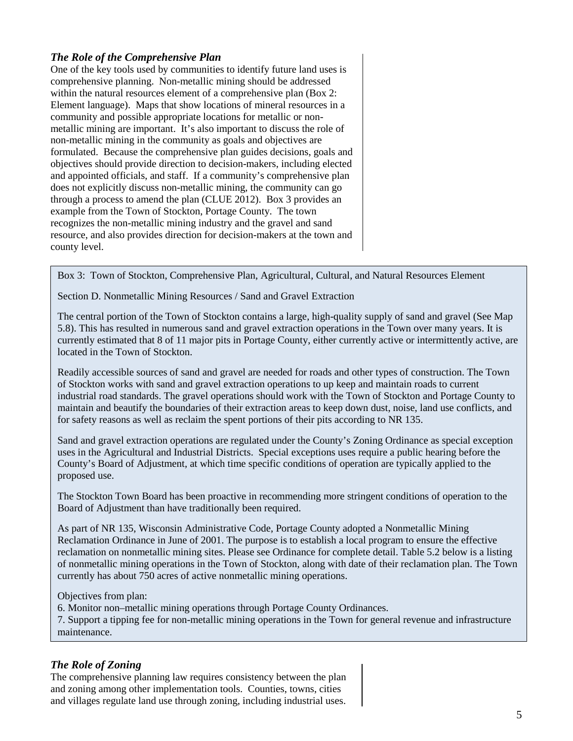#### *The Role of the Comprehensive Plan*

One of the key tools used by communities to identify future land uses is comprehensive planning. Non-metallic mining should be addressed within the natural resources element of a comprehensive plan (Box 2: Element language). Maps that show locations of mineral resources in a community and possible appropriate locations for metallic or nonmetallic mining are important. It's also important to discuss the role of non-metallic mining in the community as goals and objectives are formulated. Because the comprehensive plan guides decisions, goals and objectives should provide direction to decision-makers, including elected and appointed officials, and staff. If a community's comprehensive plan does not explicitly discuss non-metallic mining, the community can go through a process to amend the plan (CLUE 2012). Box 3 provides an example from the Town of Stockton, Portage County. The town recognizes the non-metallic mining industry and the gravel and sand resource, and also provides direction for decision-makers at the town and county level.

Box 3: Town of Stockton, Comprehensive Plan, Agricultural, Cultural, and Natural Resources Element

Section D. Nonmetallic Mining Resources / Sand and Gravel Extraction

The central portion of the Town of Stockton contains a large, high-quality supply of sand and gravel (See Map 5.8). This has resulted in numerous sand and gravel extraction operations in the Town over many years. It is currently estimated that 8 of 11 major pits in Portage County, either currently active or intermittently active, are located in the Town of Stockton.

Readily accessible sources of sand and gravel are needed for roads and other types of construction. The Town of Stockton works with sand and gravel extraction operations to up keep and maintain roads to current industrial road standards. The gravel operations should work with the Town of Stockton and Portage County to maintain and beautify the boundaries of their extraction areas to keep down dust, noise, land use conflicts, and for safety reasons as well as reclaim the spent portions of their pits according to NR 135.

Sand and gravel extraction operations are regulated under the County's Zoning Ordinance as special exception uses in the Agricultural and Industrial Districts. Special exceptions uses require a public hearing before the County's Board of Adjustment, at which time specific conditions of operation are typically applied to the proposed use.

The Stockton Town Board has been proactive in recommending more stringent conditions of operation to the Board of Adjustment than have traditionally been required.

As part of NR 135, Wisconsin Administrative Code, Portage County adopted a Nonmetallic Mining Reclamation Ordinance in June of 2001. The purpose is to establish a local program to ensure the effective reclamation on nonmetallic mining sites. Please see Ordinance for complete detail. Table 5.2 below is a listing of nonmetallic mining operations in the Town of Stockton, along with date of their reclamation plan. The Town currently has about 750 acres of active nonmetallic mining operations.

Objectives from plan:

6. Monitor non–metallic mining operations through Portage County Ordinances.

7. Support a tipping fee for non-metallic mining operations in the Town for general revenue and infrastructure maintenance.

#### *The Role of Zoning*

The comprehensive planning law requires consistency between the plan and zoning among other implementation tools. Counties, towns, cities and villages regulate land use through zoning, including industrial uses.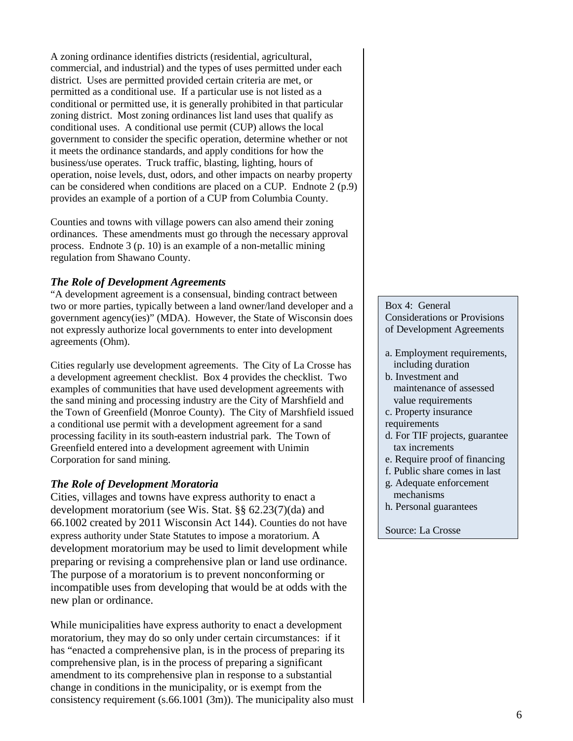A zoning ordinance identifies districts (residential, agricultural, commercial, and industrial) and the types of uses permitted under each district. Uses are permitted provided certain criteria are met, or permitted as a conditional use. If a particular use is not listed as a conditional or permitted use, it is generally prohibited in that particular zoning district. Most zoning ordinances list land uses that qualify as conditional uses. A conditional use permit (CUP) allows the local government to consider the specific operation, determine whether or not it meets the ordinance standards, and apply conditions for how the business/use operates. Truck traffic, blasting, lighting, hours of operation, noise levels, dust, odors, and other impacts on nearby property can be considered when conditions are placed on a CUP. Endnote 2 (p.9) provides an example of a portion of a CUP from Columbia County.

Counties and towns with village powers can also amend their zoning ordinances. These amendments must go through the necessary approval process. Endnote 3 (p. 10) is an example of a non-metallic mining regulation from Shawano County.

#### *The Role of Development Agreements*

"A development agreement is a consensual, binding contract between two or more parties, typically between a land owner/land developer and a government agency(ies)" (MDA). However, the State of Wisconsin does not expressly authorize local governments to enter into development agreements (Ohm).

Cities regularly use development agreements. The City of La Crosse has a development agreement checklist. Box 4 provides the checklist. Two examples of communities that have used development agreements with the sand mining and processing industry are the City of Marshfield and the Town of Greenfield (Monroe County). The City of Marshfield issued a conditional use permit with a development agreement for a sand processing facility in its south-eastern industrial park. The Town of Greenfield entered into a development agreement with Unimin Corporation for sand mining.

#### *The Role of Development Moratoria*

Cities, villages and towns have express authority to enact a development moratorium (see Wis. Stat. §§ 62.23(7)(da) and 66.1002 created by 2011 Wisconsin Act 144). Counties do not have express authority under State Statutes to impose a moratorium. A development moratorium may be used to limit development while preparing or revising a comprehensive plan or land use ordinance. The purpose of a moratorium is to prevent nonconforming or incompatible uses from developing that would be at odds with the new plan or ordinance.

While municipalities have express authority to enact a development moratorium, they may do so only under certain circumstances: if it has "enacted a comprehensive plan, is in the process of preparing its comprehensive plan, is in the process of preparing a significant amendment to its comprehensive plan in response to a substantial change in conditions in the municipality, or is exempt from the consistency requirement (s.66.1001 (3m)). The municipality also must Box 4: General Considerations or Provisions of Development Agreements

- a. Employment requirements, including duration
- b. Investment and maintenance of assessed value requirements
- c. Property insurance requirements
- d. For TIF projects, guarantee tax increments
- e. Require proof of financing
- f. Public share comes in last
- g. Adequate enforcement mechanisms
- h. Personal guarantees

#### Source: La Crosse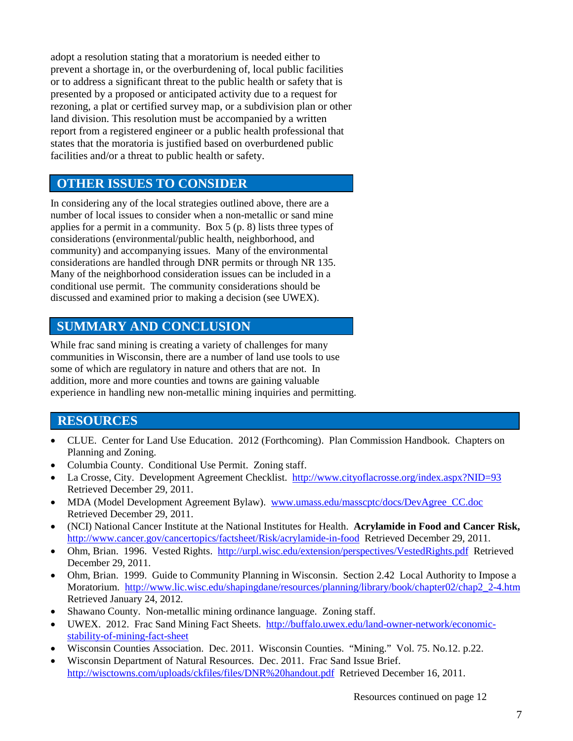adopt a resolution stating that a moratorium is needed either to prevent a shortage in, or the overburdening of, local public facilities or to address a significant threat to the public health or safety that is presented by a proposed or anticipated activity due to a request for rezoning, a plat or certified survey map, or a subdivision plan or other land division. This resolution must be accompanied by a written report from a registered engineer or a public health professional that states that the moratoria is justified based on overburdened public facilities and/or a threat to public health or safety.

## **OTHER ISSUES TO CONSIDER**

In considering any of the local strategies outlined above, there are a number of local issues to consider when a non-metallic or sand mine applies for a permit in a community. Box 5 (p. 8) lists three types of considerations (environmental/public health, neighborhood, and community) and accompanying issues. Many of the environmental considerations are handled through DNR permits or through NR 135. Many of the neighborhood consideration issues can be included in a conditional use permit. The community considerations should be discussed and examined prior to making a decision (see UWEX).

## **SUMMARY AND CONCLUSION**

While frac sand mining is creating a variety of challenges for many communities in Wisconsin, there are a number of land use tools to use some of which are regulatory in nature and others that are not. In addition, more and more counties and towns are gaining valuable experience in handling new non-metallic mining inquiries and permitting.

## **RESOURCES**

- CLUE. Center for Land Use Education. 2012 (Forthcoming). Plan Commission Handbook. Chapters on Planning and Zoning.
- Columbia County. Conditional Use Permit. Zoning staff.
- La Crosse, City. Development Agreement Checklist. http://www.cityoflacrosse.org/index.aspx?NID=93 Retrieved December 29, 2011.
- MDA (Model Development Agreement Bylaw). [www.umass.edu/masscptc/docs/DevAgree\\_CC.doc](http://www.umass.edu/masscptc/docs/DevAgree_CC.doc)  Retrieved December 29, 2011.
- (NCI) National Cancer Institute at the National Institutes for Health. **Acrylamide in Food and Cancer Risk,** <http://www.cancer.gov/cancertopics/factsheet/Risk/acrylamide-in-food>Retrieved December 29, 2011.
- Ohm, Brian. 1996. Vested Rights.<http://urpl.wisc.edu/extension/perspectives/VestedRights.pdf>Retrieved December 29, 2011.
- Ohm, Brian. 1999. Guide to Community Planning in Wisconsin. Section 2.42 Local Authority to Impose a Moratorium. [http://www.lic.wisc.edu/shapingdane/resources/planning/library/book/chapter02/chap2\\_2-4.htm](http://www.lic.wisc.edu/shapingdane/resources/planning/library/book/chapter02/chap2_2-4.htm)  Retrieved January 24, 2012.
- Shawano County. Non-metallic mining ordinance language. Zoning staff.
- UWEX. 2012. Frac Sand Mining Fact Sheets. [http://buffalo.uwex.edu/land-owner-network/economic](http://buffalo.uwex.edu/land-owner-network/economic-stability-of-mining-fact-sheet)[stability-of-mining-fact-sheet](http://buffalo.uwex.edu/land-owner-network/economic-stability-of-mining-fact-sheet)
- Wisconsin Counties Association. Dec. 2011. Wisconsin Counties. "Mining." Vol. 75. No.12. p.22.
- Wisconsin Department of Natural Resources. Dec. 2011. Frac Sand Issue Brief. <http://wisctowns.com/uploads/ckfiles/files/DNR%20handout.pdf>Retrieved December 16, 2011.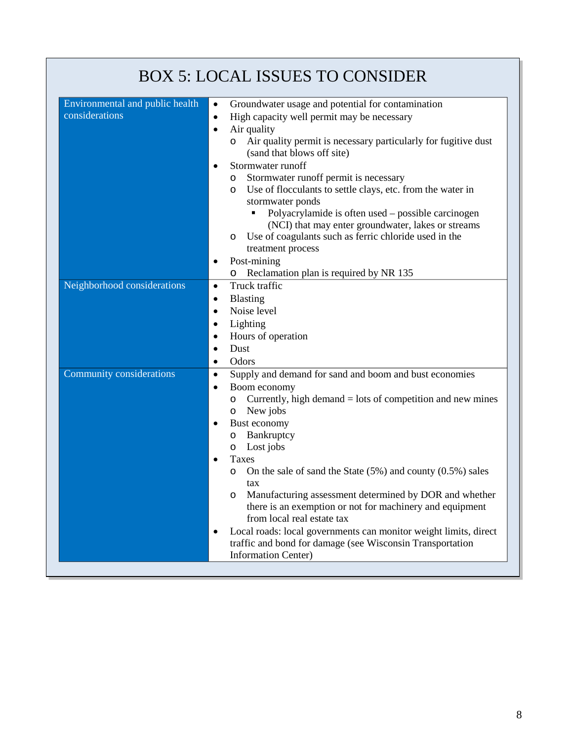| <b>BOX 5: LOCAL ISSUES TO CONSIDER</b>            |                                                                                                                                                                                                                                                                                                                                                                                                                                                                                                                                                                                                                                                                                                                 |  |
|---------------------------------------------------|-----------------------------------------------------------------------------------------------------------------------------------------------------------------------------------------------------------------------------------------------------------------------------------------------------------------------------------------------------------------------------------------------------------------------------------------------------------------------------------------------------------------------------------------------------------------------------------------------------------------------------------------------------------------------------------------------------------------|--|
| Environmental and public health<br>considerations | Groundwater usage and potential for contamination<br>$\bullet$<br>High capacity well permit may be necessary<br>$\bullet$<br>Air quality<br>$\bullet$<br>Air quality permit is necessary particularly for fugitive dust<br>O<br>(sand that blows off site)<br>Stormwater runoff<br>$\bullet$<br>Stormwater runoff permit is necessary<br>O<br>Use of flocculants to settle clays, etc. from the water in<br>$\circ$<br>stormwater ponds<br>Polyacrylamide is often used – possible carcinogen<br>٠<br>(NCI) that may enter groundwater, lakes or streams<br>Use of coagulants such as ferric chloride used in the<br>$\circ$<br>treatment process<br>Post-mining<br>٠<br>Reclamation plan is required by NR 135 |  |
| Neighborhood considerations                       | O<br>Truck traffic<br>$\bullet$<br>Blasting<br>٠<br>Noise level<br>٠<br>Lighting<br>٠<br>Hours of operation<br>٠<br>Dust<br>$\bullet$<br>Odors<br>٠                                                                                                                                                                                                                                                                                                                                                                                                                                                                                                                                                             |  |
| Community considerations                          | Supply and demand for sand and boom and bust economies<br>$\bullet$<br>Boom economy<br>$\bullet$<br>Currently, high demand $=$ lots of competition and new mines<br>O<br>New jobs<br>O<br>Bust economy<br>٠<br>Bankruptcy<br>$\circ$<br>Lost jobs<br>O<br>Taxes<br>On the sale of sand the State $(5\%)$ and county $(0.5\%)$ sales<br>O<br>tax<br>Manufacturing assessment determined by DOR and whether<br>$\circ$<br>there is an exemption or not for machinery and equipment<br>from local real estate tax                                                                                                                                                                                                  |  |
|                                                   | Local roads: local governments can monitor weight limits, direct<br>٠<br>traffic and bond for damage (see Wisconsin Transportation<br><b>Information Center)</b>                                                                                                                                                                                                                                                                                                                                                                                                                                                                                                                                                |  |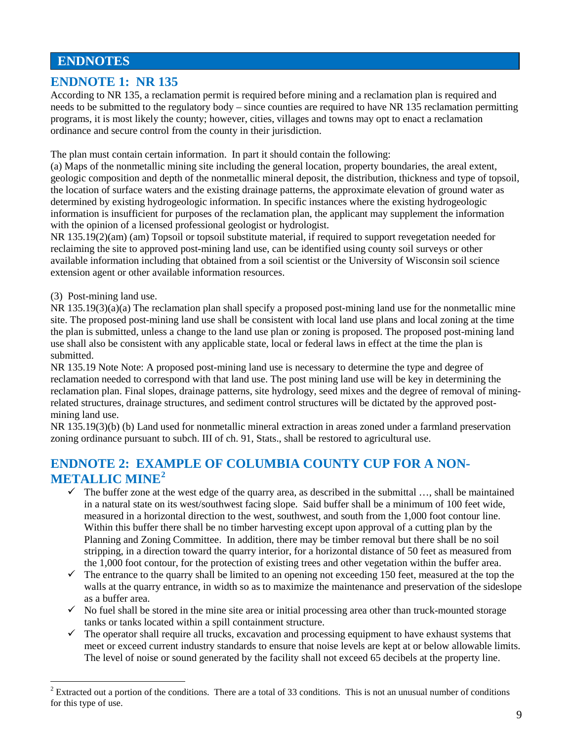## **ENDNOTES**

#### **ENDNOTE 1: NR 135**

According to NR 135, a reclamation permit is required before mining and a reclamation plan is required and needs to be submitted to the regulatory body – since counties are required to have NR 135 reclamation permitting programs, it is most likely the county; however, cities, villages and towns may opt to enact a reclamation ordinance and secure control from the county in their jurisdiction.

The plan must contain certain information. In part it should contain the following:

(a) Maps of the nonmetallic mining site including the general location, property boundaries, the areal extent, geologic composition and depth of the nonmetallic mineral deposit, the distribution, thickness and type of topsoil, the location of surface waters and the existing drainage patterns, the approximate elevation of ground water as determined by existing hydrogeologic information. In specific instances where the existing hydrogeologic information is insufficient for purposes of the reclamation plan, the applicant may supplement the information with the opinion of a licensed professional geologist or hydrologist.

NR 135.19(2)(am) (am) Topsoil or topsoil substitute material, if required to support revegetation needed for reclaiming the site to approved post-mining land use, can be identified using county soil surveys or other available information including that obtained from a soil scientist or the University of Wisconsin soil science extension agent or other available information resources.

(3) Post-mining land use.

NR 135.19(3)(a)(a) The reclamation plan shall specify a proposed post-mining land use for the nonmetallic mine site. The proposed post-mining land use shall be consistent with local land use plans and local zoning at the time the plan is submitted, unless a change to the land use plan or zoning is proposed. The proposed post-mining land use shall also be consistent with any applicable state, local or federal laws in effect at the time the plan is submitted.

NR 135.19 Note Note: A proposed post-mining land use is necessary to determine the type and degree of reclamation needed to correspond with that land use. The post mining land use will be key in determining the reclamation plan. Final slopes, drainage patterns, site hydrology, seed mixes and the degree of removal of miningrelated structures, drainage structures, and sediment control structures will be dictated by the approved postmining land use.

NR 135.19(3)(b) (b) Land used for nonmetallic mineral extraction in areas zoned under a farmland preservation zoning ordinance pursuant to subch. III of ch. 91, Stats., shall be restored to agricultural use.

## **ENDNOTE 2: EXAMPLE OF COLUMBIA COUNTY CUP FOR A NON-METALLIC MINE[2](#page-8-0)**

- $\checkmark$  The buffer zone at the west edge of the quarry area, as described in the submittal ..., shall be maintained in a natural state on its west/southwest facing slope. Said buffer shall be a minimum of 100 feet wide, measured in a horizontal direction to the west, southwest, and south from the 1,000 foot contour line. Within this buffer there shall be no timber harvesting except upon approval of a cutting plan by the Planning and Zoning Committee. In addition, there may be timber removal but there shall be no soil stripping, in a direction toward the quarry interior, for a horizontal distance of 50 feet as measured from the 1,000 foot contour, for the protection of existing trees and other vegetation within the buffer area.
- $\checkmark$  The entrance to the quarry shall be limited to an opening not exceeding 150 feet, measured at the top the walls at the quarry entrance, in width so as to maximize the maintenance and preservation of the sideslope as a buffer area.
- $\checkmark$  No fuel shall be stored in the mine site area or initial processing area other than truck-mounted storage tanks or tanks located within a spill containment structure.
- $\checkmark$  The operator shall require all trucks, excavation and processing equipment to have exhaust systems that meet or exceed current industry standards to ensure that noise levels are kept at or below allowable limits. The level of noise or sound generated by the facility shall not exceed 65 decibels at the property line.

<span id="page-8-0"></span> $2$  Extracted out a portion of the conditions. There are a total of 33 conditions. This is not an unusual number of conditions for this type of use.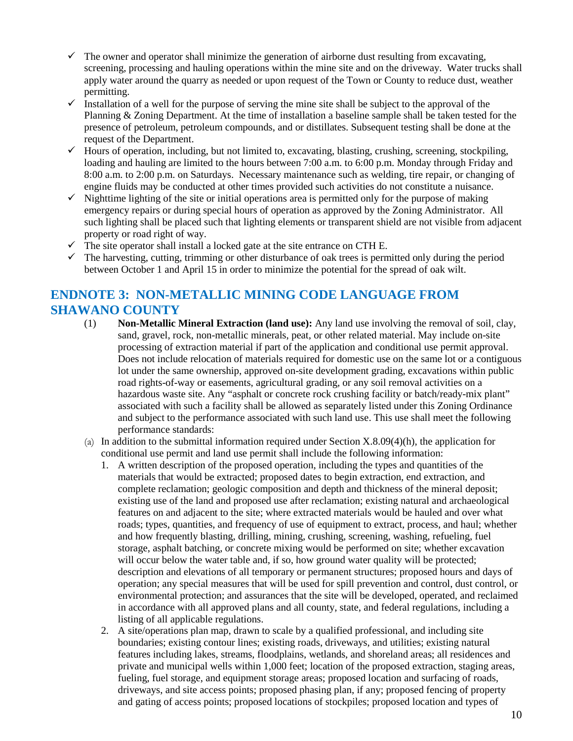- $\checkmark$  The owner and operator shall minimize the generation of airborne dust resulting from excavating, screening, processing and hauling operations within the mine site and on the driveway. Water trucks shall apply water around the quarry as needed or upon request of the Town or County to reduce dust, weather permitting.
- $\checkmark$  Installation of a well for the purpose of serving the mine site shall be subject to the approval of the Planning & Zoning Department. At the time of installation a baseline sample shall be taken tested for the presence of petroleum, petroleum compounds, and or distillates. Subsequent testing shall be done at the request of the Department.
- $\checkmark$  Hours of operation, including, but not limited to, excavating, blasting, crushing, screening, stockpiling, loading and hauling are limited to the hours between 7:00 a.m. to 6:00 p.m. Monday through Friday and 8:00 a.m. to 2:00 p.m. on Saturdays. Necessary maintenance such as welding, tire repair, or changing of engine fluids may be conducted at other times provided such activities do not constitute a nuisance.
- $\checkmark$  Nighttime lighting of the site or initial operations area is permitted only for the purpose of making emergency repairs or during special hours of operation as approved by the Zoning Administrator. All such lighting shall be placed such that lighting elements or transparent shield are not visible from adjacent property or road right of way.
- $\checkmark$  The site operator shall install a locked gate at the site entrance on CTH E.
- $\checkmark$  The harvesting, cutting, trimming or other disturbance of oak trees is permitted only during the period between October 1 and April 15 in order to minimize the potential for the spread of oak wilt.

## **ENDNOTE 3: NON-METALLIC MINING CODE LANGUAGE FROM SHAWANO COUNTY**

- (1) **Non-Metallic Mineral Extraction (land use):** Any land use involving the removal of soil, clay, sand, gravel, rock, non-metallic minerals, peat, or other related material. May include on-site processing of extraction material if part of the application and conditional use permit approval. Does not include relocation of materials required for domestic use on the same lot or a contiguous lot under the same ownership, approved on-site development grading, excavations within public road rights-of-way or easements, agricultural grading, or any soil removal activities on a hazardous waste site. Any "asphalt or concrete rock crushing facility or batch/ready-mix plant" associated with such a facility shall be allowed as separately listed under this Zoning Ordinance and subject to the performance associated with such land use. This use shall meet the following performance standards:
- (a) In addition to the submittal information required under Section X.8.09(4)(h), the application for conditional use permit and land use permit shall include the following information:
	- 1. A written description of the proposed operation, including the types and quantities of the materials that would be extracted; proposed dates to begin extraction, end extraction, and complete reclamation; geologic composition and depth and thickness of the mineral deposit; existing use of the land and proposed use after reclamation; existing natural and archaeological features on and adjacent to the site; where extracted materials would be hauled and over what roads; types, quantities, and frequency of use of equipment to extract, process, and haul; whether and how frequently blasting, drilling, mining, crushing, screening, washing, refueling, fuel storage, asphalt batching, or concrete mixing would be performed on site; whether excavation will occur below the water table and, if so, how ground water quality will be protected; description and elevations of all temporary or permanent structures; proposed hours and days of operation; any special measures that will be used for spill prevention and control, dust control, or environmental protection; and assurances that the site will be developed, operated, and reclaimed in accordance with all approved plans and all county, state, and federal regulations, including a listing of all applicable regulations.
	- 2. A site/operations plan map, drawn to scale by a qualified professional, and including site boundaries; existing contour lines; existing roads, driveways, and utilities; existing natural features including lakes, streams, floodplains, wetlands, and shoreland areas; all residences and private and municipal wells within 1,000 feet; location of the proposed extraction, staging areas, fueling, fuel storage, and equipment storage areas; proposed location and surfacing of roads, driveways, and site access points; proposed phasing plan, if any; proposed fencing of property and gating of access points; proposed locations of stockpiles; proposed location and types of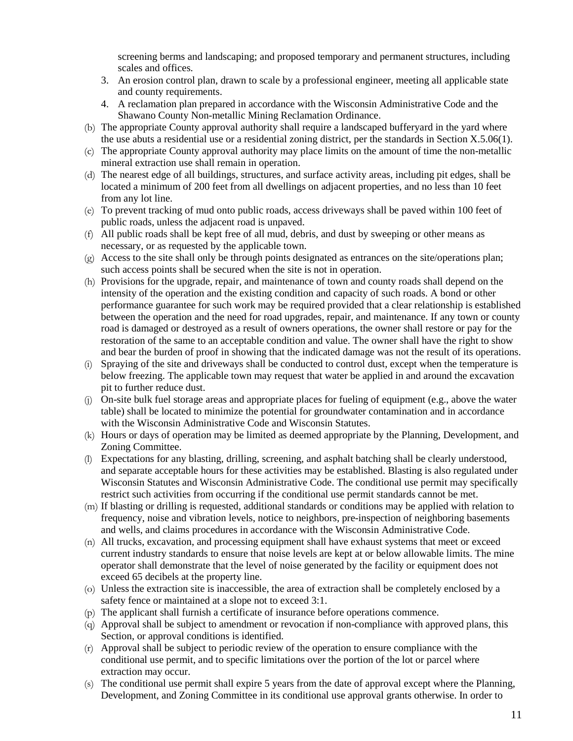screening berms and landscaping; and proposed temporary and permanent structures, including scales and offices.

- 3. An erosion control plan, drawn to scale by a professional engineer, meeting all applicable state and county requirements.
- 4. A reclamation plan prepared in accordance with the Wisconsin Administrative Code and the Shawano County Non-metallic Mining Reclamation Ordinance.
- (b) The appropriate County approval authority shall require a landscaped bufferyard in the yard where the use abuts a residential use or a residential zoning district, per the standards in Section X.5.06(1).
- (c) The appropriate County approval authority may place limits on the amount of time the non-metallic mineral extraction use shall remain in operation.
- (d) The nearest edge of all buildings, structures, and surface activity areas, including pit edges, shall be located a minimum of 200 feet from all dwellings on adjacent properties, and no less than 10 feet from any lot line.
- (e) To prevent tracking of mud onto public roads, access driveways shall be paved within 100 feet of public roads, unless the adjacent road is unpaved.
- (f) All public roads shall be kept free of all mud, debris, and dust by sweeping or other means as necessary, or as requested by the applicable town.
- (g) Access to the site shall only be through points designated as entrances on the site/operations plan; such access points shall be secured when the site is not in operation.
- (h) Provisions for the upgrade, repair, and maintenance of town and county roads shall depend on the intensity of the operation and the existing condition and capacity of such roads. A bond or other performance guarantee for such work may be required provided that a clear relationship is established between the operation and the need for road upgrades, repair, and maintenance. If any town or county road is damaged or destroyed as a result of owners operations, the owner shall restore or pay for the restoration of the same to an acceptable condition and value. The owner shall have the right to show and bear the burden of proof in showing that the indicated damage was not the result of its operations.
- (i) Spraying of the site and driveways shall be conducted to control dust, except when the temperature is below freezing. The applicable town may request that water be applied in and around the excavation pit to further reduce dust.
- (j) On-site bulk fuel storage areas and appropriate places for fueling of equipment (e.g., above the water table) shall be located to minimize the potential for groundwater contamination and in accordance with the Wisconsin Administrative Code and Wisconsin Statutes.
- (k) Hours or days of operation may be limited as deemed appropriate by the Planning, Development, and Zoning Committee.
- (l) Expectations for any blasting, drilling, screening, and asphalt batching shall be clearly understood, and separate acceptable hours for these activities may be established. Blasting is also regulated under Wisconsin Statutes and Wisconsin Administrative Code. The conditional use permit may specifically restrict such activities from occurring if the conditional use permit standards cannot be met.
- (m) If blasting or drilling is requested, additional standards or conditions may be applied with relation to frequency, noise and vibration levels, notice to neighbors, pre-inspection of neighboring basements and wells, and claims procedures in accordance with the Wisconsin Administrative Code.
- (n) All trucks, excavation, and processing equipment shall have exhaust systems that meet or exceed current industry standards to ensure that noise levels are kept at or below allowable limits. The mine operator shall demonstrate that the level of noise generated by the facility or equipment does not exceed 65 decibels at the property line.
- (o) Unless the extraction site is inaccessible, the area of extraction shall be completely enclosed by a safety fence or maintained at a slope not to exceed 3:1.
- (p) The applicant shall furnish a certificate of insurance before operations commence.
- (q) Approval shall be subject to amendment or revocation if non-compliance with approved plans, this Section, or approval conditions is identified.
- (r) Approval shall be subject to periodic review of the operation to ensure compliance with the conditional use permit, and to specific limitations over the portion of the lot or parcel where extraction may occur.
- (s) The conditional use permit shall expire 5 years from the date of approval except where the Planning, Development, and Zoning Committee in its conditional use approval grants otherwise. In order to